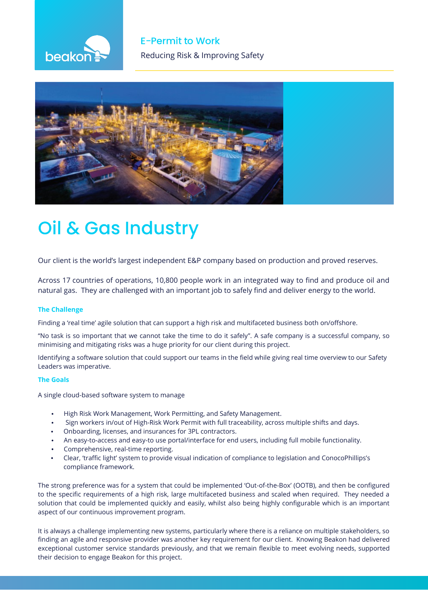



# Oil & Gas Industry

Our client is the world's largest independent E&P company based on production and proved reserves.

Across 17 countries of operations, 10,800 people work in an integrated way to find and produce oil and natural gas. They are challenged with an important job to safely find and deliver energy to the world.

## **The Challenge**

Finding a 'real time' agile solution that can support a high risk and multifaceted business both on/offshore.

"No task is so important that we cannot take the time to do it safely". A safe company is a successful company, so minimising and mitigating risks was a huge priority for our client during this project.

Identifying a software solution that could support our teams in the field while giving real time overview to our Safety Leaders was imperative.

### **The Goals**

A single cloud-based software system to manage

- High Risk Work Management, Work Permitting, and Safety Management.
- Sign workers in/out of High-Risk Work Permit with full traceability, across multiple shifts and days.
- Onboarding, licenses, and insurances for 3PL contractors.
- An easy-to-access and easy-to use portal/interface for end users, including full mobile functionality.
- Comprehensive, real-time reporting.
- Clear, 'traffic light' system to provide visual indication of compliance to legislation and ConocoPhillips's compliance framework.

The strong preference was for a system that could be implemented 'Out-of-the-Box' (OOTB), and then be configured to the specific requirements of a high risk, large multifaceted business and scaled when required. They needed a solution that could be implemented quickly and easily, whilst also being highly configurable which is an important aspect of our continuous improvement program.

It is always a challenge implementing new systems, particularly where there is a reliance on multiple stakeholders, so finding an agile and responsive provider was another key requirement for our client. Knowing Beakon had delivered exceptional customer service standards previously, and that we remain flexible to meet evolving needs, supported their decision to engage Beakon for this project.